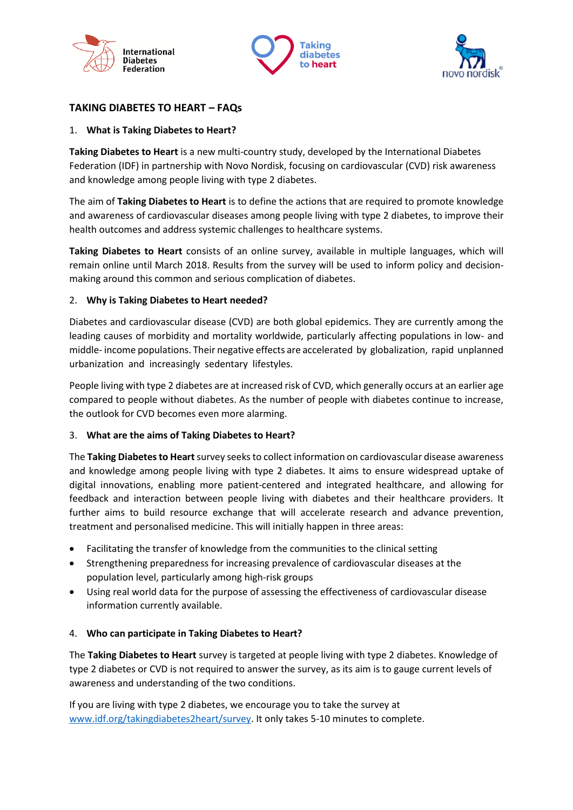





# **TAKING DIABETES TO HEART – FAQs**

## 1. **What is Taking Diabetes to Heart?**

**Taking Diabetes to Heart** is a new multi-country study, developed by the International Diabetes Federation (IDF) in partnership with Novo Nordisk, focusing on cardiovascular (CVD) risk awareness and knowledge among people living with type 2 diabetes.

The aim of **Taking Diabetes to Heart** is to define the actions that are required to promote knowledge and awareness of cardiovascular diseases among people living with type 2 diabetes, to improve their health outcomes and address systemic challenges to healthcare systems.

**Taking Diabetes to Heart** consists of an online survey, available in multiple languages, which will remain online until March 2018. Results from the survey will be used to inform policy and decisionmaking around this common and serious complication of diabetes.

## 2. **Why is Taking Diabetes to Heart needed?**

Diabetes and cardiovascular disease (CVD) are both global epidemics. They are currently among the leading causes of morbidity and mortality worldwide, particularly affecting populations in low- and middle- income populations. Their negative effects are accelerated by globalization, rapid unplanned urbanization and increasingly sedentary lifestyles.

People living with type 2 diabetes are at increased risk of CVD, which generally occurs at an earlier age compared to people without diabetes. As the number of people with diabetes continue to increase, the outlook for CVD becomes even more alarming.

## 3. **What are the aims of Taking Diabetes to Heart?**

The **Taking Diabetes to Heart**survey seeks to collect information on cardiovascular disease awareness and knowledge among people living with type 2 diabetes. It aims to ensure widespread uptake of digital innovations, enabling more patient-centered and integrated healthcare, and allowing for feedback and interaction between people living with diabetes and their healthcare providers. It further aims to build resource exchange that will accelerate research and advance prevention, treatment and personalised medicine. This will initially happen in three areas:

- Facilitating the transfer of knowledge from the communities to the clinical setting
- Strengthening preparedness for increasing prevalence of cardiovascular diseases at the population level, particularly among high-risk groups
- Using real world data for the purpose of assessing the effectiveness of cardiovascular disease information currently available.

## 4. **Who can participate in Taking Diabetes to Heart?**

The **Taking Diabetes to Heart** survey is targeted at people living with type 2 diabetes. Knowledge of type 2 diabetes or CVD is not required to answer the survey, as its aim is to gauge current levels of awareness and understanding of the two conditions.

If you are living with type 2 diabetes, we encourage you to take the survey at [www.idf.org/takingdiabetes2heart/survey.](http://www.idf.org/takingdiabetes2heart/survey) It only takes 5-10 minutes to complete.